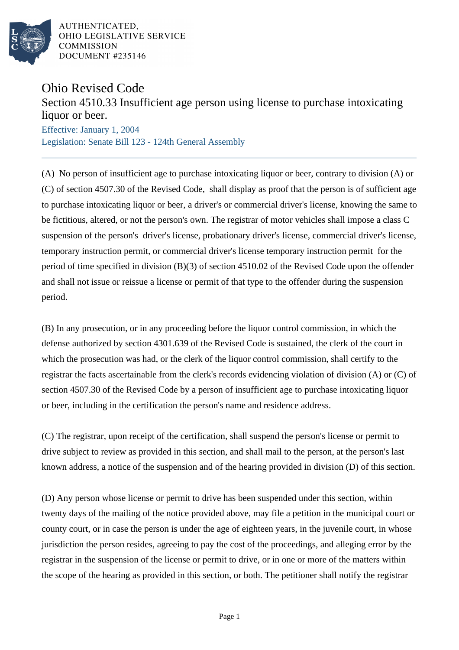

AUTHENTICATED. OHIO LEGISLATIVE SERVICE **COMMISSION** DOCUMENT #235146

## Ohio Revised Code

## Section 4510.33 Insufficient age person using license to purchase intoxicating liquor or beer.

Effective: January 1, 2004 Legislation: Senate Bill 123 - 124th General Assembly

(A) No person of insufficient age to purchase intoxicating liquor or beer, contrary to division (A) or (C) of section 4507.30 of the Revised Code, shall display as proof that the person is of sufficient age to purchase intoxicating liquor or beer, a driver's or commercial driver's license, knowing the same to be fictitious, altered, or not the person's own. The registrar of motor vehicles shall impose a class C suspension of the person's driver's license, probationary driver's license, commercial driver's license, temporary instruction permit, or commercial driver's license temporary instruction permit for the period of time specified in division (B)(3) of section 4510.02 of the Revised Code upon the offender and shall not issue or reissue a license or permit of that type to the offender during the suspension period.

(B) In any prosecution, or in any proceeding before the liquor control commission, in which the defense authorized by section 4301.639 of the Revised Code is sustained, the clerk of the court in which the prosecution was had, or the clerk of the liquor control commission, shall certify to the registrar the facts ascertainable from the clerk's records evidencing violation of division (A) or (C) of section 4507.30 of the Revised Code by a person of insufficient age to purchase intoxicating liquor or beer, including in the certification the person's name and residence address.

(C) The registrar, upon receipt of the certification, shall suspend the person's license or permit to drive subject to review as provided in this section, and shall mail to the person, at the person's last known address, a notice of the suspension and of the hearing provided in division (D) of this section.

(D) Any person whose license or permit to drive has been suspended under this section, within twenty days of the mailing of the notice provided above, may file a petition in the municipal court or county court, or in case the person is under the age of eighteen years, in the juvenile court, in whose jurisdiction the person resides, agreeing to pay the cost of the proceedings, and alleging error by the registrar in the suspension of the license or permit to drive, or in one or more of the matters within the scope of the hearing as provided in this section, or both. The petitioner shall notify the registrar